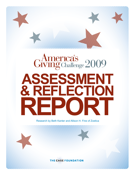

# Represe 2009

# **assessment & reflection report**

Research by Beth Kanter and Allison H. Fine of Zoetica

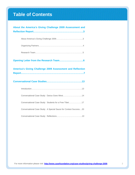# **Table of Contents**

| About the America's Giving Challenge 2009 Assessment and         |
|------------------------------------------------------------------|
|                                                                  |
|                                                                  |
|                                                                  |
|                                                                  |
|                                                                  |
|                                                                  |
| <b>America's Giving Challenge 2009 Assessment and Reflection</b> |
|                                                                  |
|                                                                  |
|                                                                  |
| Conversational Case Study: Darius Goes West14                    |
| Conversational Case Study: Students for a Free Tibet17           |
| Conversational Case Study: A Special Sauce for Contest Success20 |
|                                                                  |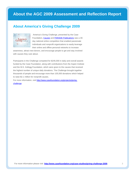### <span id="page-2-0"></span>**About the AGC 2009 Assessment and Reflection Report**

### **About America's Giving Challenge 2009**



 America's Giving Challenge, presented by the Case Foundation, [Causes](http://causes.com/agc) and [PARADE Publications w](http://causes.com/agc)as a 30 day national online competition that enabled passionate individuals and nonprofit organizations to easily leverage their online and offline personal networks to increase

awareness, attract new donors, and encourage people to get and stay involved with causes they care about.

Participants in the Challenge competed for \$245,000 in daily and overall awards funded by the Case Foundation, along with contributions from the Aspen Institute and the W.K. Kellogg Foundation, which were given to the causes that received the highest number of unique daily donations. The Challenge brought together thousands of people and encourage more than 105,000 donations which helped to raise \$2.1 million for nonprofit causes.

For more information, visit http://www.casefoundation.org/projects/givingchallenge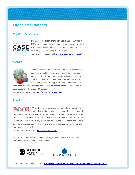### <span id="page-3-0"></span>**Organizing Partners**

### **[The Case Foundation](http://www.casefoundation.org/)**



The Case Foundation, created by Steve and Jean Case in 1997, invests in people and ideas that can change the world. The Foundation champions initiatives that connect people, increase giving, and catalyze civic action. For more information, visit http://www.casefoundation.org/

### **[Causes](http://exchange.causes.com/)**



Causes empowers anyone with a good idea or passion for change to impact the world. Using the platform, individuals mobilize their network of friends to grow lasting social and political movements. To date, over 125 million Facebook users have installed the application and created and joined

more than 390,000 grassroots causes that benefit more than 60,000 nonprofit organizations in the U.S. and Canada.

For more information, visit http://exchange.causes.com/

### **[Parade](http://www.parade.com/)**

 PARADE Publications produces PARADE magazine, the most widely read magazine in America, which is distributed in more than 510 of the nation's top newspapers. The magazine, which launched in 1941, now has a circulation of 32 million and a readership of 74 million. Each Sunday in PARADE and every day at Parade.com, the organization's mission is to entertain, inspire and inform Americans about the issues they care most about and move them to action.

For more information, visit http://www.parade.com/.

In addition to the Case Foundation's leading contribution towards cash awards, generous donations were also provided by:



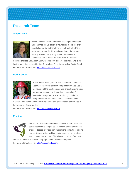### <span id="page-4-0"></span>**Research Team**

### **[Allison Fine](http://www.allisonfine.com/)**



Allison Fine is a writer and activist seeking to understand and enhance the utilization of new social media tools for social change. Co-author of the recently published *The Networked Nonprofit,* Allison also authored the awardwinning *Momentum: Igniting Social Change in the Connected Age.* She is a Senior Fellow at Demos: A

Network of Ideas and Action and writes her own blog, A. Fine Blog. She is the host of a monthly podcast for the Chronicle of Philanthropy called Social Good. For more information, visit http://www.allisonfine.com/

### **[Beth Kanter](http://www.bethkanter.org/)**



Social media expert, author, and co-founder of Zoetica, Beth writes Beth's Blog: How Nonprofits Can Use Social Media, one of the most popular and longest running blogs for non-profits on the web. She is the co-author *The Networked Nonprofit.* She is the Visiting Scholar in Nonprofits and Social Media at the David and Lucile

Packard Foundation and in 2009 was named one of BusinessWeek's Voice of Innovation for Social Media.

For more information, visit http://www.bethkanter.org/

### **[Zoetica](http://zoeticamedia.com/)**



Zoetica provides communications services to non-profits and socially conscious companies. To help its clients affect social change, Zoetica provides communications consulting, training and strategy aimed at building relationships between clients and communities. As part of its mission, Zoetica's founders

donate 10 percent of the company's proceeds to choice non-profits. For more information, visit http://zoeticamedia.com/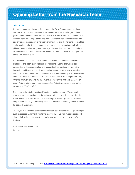### <span id="page-5-0"></span>**July 15, 2010**

It is our pleasure to submit this final report to the Case Foundation assessing the 2009 America's Giving Challenge. Over the course of two Challenges in three years, the Foundation and its partners at PARADE Publications and Causes have inspired many other corporations and foundations to launch contests of their own and enhanced the capacity of nonprofit organizations and their champions to utilize social media to raise funds, supporters and awareness. Nonprofit organizations, philanthropies of all types, government agencies and the corporate community will all find value in the best practices and lessons learned contained in this report and the related case studies.

We believe the Case Foundation's efforts as pioneers in charitable contests, challenges and open grant making have helped to catalyze the widespread proliferation of these approaches and associated best practices for promoting innovation and leveraging public participation. A number of survey respondents mentioned in the open-ended comments that Case Foundation played a significant leadership role in the prevalence of online giving contests. One respondent said, *"Thanks so much for being the innovators of online giving contests. Because of your effort there [are] many more opportunities that rally non profit teams across the country. That's a win."*

But it's not just a win for the Case Foundation and its partners. The general contest trend has contributed to the industry's adoption of online fundraising via social media. It's a testimony to the entire nonprofit sector's growth in social media adoption and capacity to effectively use these tools to raise money and awareness for social change work.

Thank you to the contest participants who made both America's Giving Challenges such successes. And thank you to the many individuals from multiple sectors who shared their insights and invested in online conversations about the report's findings.

Beth Kanter and Allison Fine Zoetica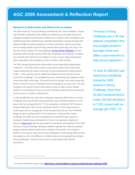### <span id="page-6-0"></span>**Research by Beth Kanter and Allison Fine of Zoetica**

The 2009 America's Giving Challenge, presented by the Case Foundation, Causes and PARADE Publications (with additional matching funds provided by the W.K. Kellogg Foundation and the Aspen Institute) was a national online competition that enabled passionate individuals and nonprofit organizations to easily leverage their online and offline personal networks to increase awareness, attract new donors, and encourage people to get and stay involved with causes they care about. This was the second America's Giving Challenge; [the first Giving Challenge r](http://www.casefoundation.org/case-studies/giving-challenge)an from December 2007 through January 2008. Both Challenges were effective in helping the nonprofit sector become more skilled in its use of social media and inspiring other corporations and foundations to launch similar online contests

The 2007 contest pioneered the million-dollar social media-driven philanthropic contest era. The 2009 contest rode the crest of the contest wave amidst other mega contests like the Chase Community Giving Contest and the Pepsi Refresh Project. There were two primary differences between the first and the second round of the Challenge. The first difference was a shortening of the total time of the contest from fifty to thirty days. The second was the change in the rules concerning donors. In the first round an individual could only donate to a Cause once. This was changed in the second round to allow donors to give as often as they wanted (limited to one donation per day), and some Champions did just that by asking their donors to give on a daily or weekly basis.

In total, \$1,990,805 was raised from individuals during the 2009 America's Giving Challenge. More than 82,000 individual donors made 105,000 donations to 7,876 causes with an average gift of \$17.73. By comparison, during the 2007 America's Giving Challenge \$1,764,710 was raised from almost 72,000 unique donors to 6,418 causes with an average gift of \$24.50 overall with the use of the PARADE Magazine site for giving and \$17.30 on Facebook $1$ . During the first Giving Challenge, the public was able to participate and donate through Causes on Facebook, GlobalGiving and Network for Good. In an attempt to simplify the process, [Causes.com w](http://causes.com/)as the sole portal for participation and donation for the 2009 America's Giving Challenge, although a platform upgrade was made that allowed people to donate without having to be a member of Facebook. This change in platform, the economic downturn and the proliferation of online giving efforts all may have played a role in the difference in dollars raised and average gift size between the two challenges. However, there is not a enough data to draw specific conclusions.

 $\overline{a}$ 

"America's Giving Challenge was a 30-day national competition that encouraged people to leverage online and offline social networks to help recruit supporters."

"In total, \$1,990,805 was raised from individuals during the 2009 America's Giving Challenge. More than 82,000 individual donors made 105,000 donations to 7,876 causes with an average gift of \$17.73."

.

<sup>&</sup>lt;sup>1</sup> The average gift size in 2007 via Network for Good and Global Giving was \$24.50 compared to \$17.30 from Facebook Causes.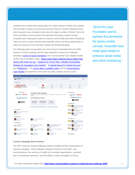Contests have evolved with awards given for a wide variety of criteria, from popular vote and best concept to tournaments and the America's Giving Challenge format, which rewards cause champions who raise the largest number of friends. Since the Case Foundation and its partners first pioneered the giving contest concept, nonprofits have made great strides to embrace social media and online fundraising. There are now so many contests that nonprofits need to vet these opportunities to make sure they are in line with their mission and fundraising goals.

The following report encapsulates the main lessons extrapolated from the 2009 America's Giving Challenge and the data collected to assess the Challenge including a **survey of cause champions**, four Conversational Case Studies hosted on the Case Foundation's blog: ["Darius Goes West: Inspiring Fans to Share Their](http://www.casefoundation.org/blog/AGC-Conversational-Case-Studies-Darius-Goes-West)  [Stories with Pride and Joy,"](http://www.casefoundation.org/blog/AGC-Conversational-Case-Studies-Darius-Goes-West) "Students for a Free Tibet: A Mindful Social Media [Strategy for Campaigns and Contests,"](http://www.casefoundation.org/blog/agc-conversational-case-studies-students-for-a-free-tibet) "A Special Sauce for Contest Success," and ["Reflections".](http://www.casefoundation.org/blog/agc-conversational-case-studies-reflections) The [survey data is available online](http://www.casefoundation.org/sites/www.casefoundation.org/files/Copy_of_AGC_2009_Survey_Summary.xls) and the Conversational [Case Studies](http://www.casefoundation.org/agc-research-2009) are attached to this report for public analysis and discussion.

"Since the Case Foundation and its partners first pioneered the giving contest concept, nonprofits have made great strides to embrace social media and online fundraising."

| « causes.com                                                      |                                                                         |                       |                                                                                      |      |                                                                                                |                                                          |  |
|-------------------------------------------------------------------|-------------------------------------------------------------------------|-----------------------|--------------------------------------------------------------------------------------|------|------------------------------------------------------------------------------------------------|----------------------------------------------------------|--|
| <b>merica's<br/>Ing</b> Challenge                                 |                                                                         |                       |                                                                                      |      |                                                                                                |                                                          |  |
|                                                                   |                                                                         | <b>Winners</b>        | About                                                                                | Help | Partners                                                                                       | <b>Rules</b>                                             |  |
| <b>Presented By</b><br><b>Causes PARADE</b>                       | <b>Congrats to the winners!</b>                                         |                       | Thank you to everyone who participated in the Challenge and played a big role in its |      | <b>Presented By</b><br><b>Causes PARADE</b>                                                    |                                                          |  |
| <b>THE CASE FOUNDATION</b>                                        | success.<br><b>Total Challenge Impact:</b>                              |                       |                                                                                      |      | <b>THE CASE FOUNDATION</b><br><b>X W.K. KELLOGG</b>                                            |                                                          |  |
| <b>W.K. KELLOGG</b>                                               | 105,420<br>donations                                                    | \$2,101,914<br>raised | 7,875<br>causes entered                                                              |      | <b>Nov 5 Winners</b>                                                                           |                                                          |  |
| See All Overall & Daily Challenge Winners - Read the Updated FAQs |                                                                         |                       |                                                                                      |      | <b>NEW OCEF (Overseas China)</b><br>A Real Education Foundation)<br>\$1,500<br>2.825 donations |                                                          |  |
| \$50,000 Winner                                                   |                                                                         |                       |                                                                                      |      | \$1,000                                                                                        | <b>TPRF: Food for People</b><br>2.708 donations          |  |
| CCEF (Overseas China Education<br>Foundation)<br>0 donations      |                                                                         |                       |                                                                                      |      | \$500<br>1,487 donations                                                                       | Save Chinese Children<br>(OSCCF)                         |  |
| <b>\$25,000 Winners</b>                                           |                                                                         |                       |                                                                                      |      | <b>Nov 4 Winners</b>                                                                           |                                                          |  |
| TPRF: Food for People<br>0 donations<br>\$10,000 Winners          | Save Chinese Children (OSCCF)<br>0 donations                            |                       |                                                                                      |      | \$1,500<br>2.004 donations                                                                     | <b>NEW OCEF</b> (Overseas China<br>Education Foundation) |  |
| Ride 2 Recovery                                                   | Atlas Corps = International<br><b>MARINE Cooperation</b><br>0 donations |                       | Andhra Pradesh and Karnataka<br>Floods Relief Fund (AID)<br>0 donations              |      | \$1,000                                                                                        | TPRF: Food for People<br>1.943 donations                 |  |
| <b>Tibetan Freedom Movement</b><br>0 donations                    | Make Abortion UNTHINKABLE!<br>0 donations                               |                       | ClobeMed - Advancing global health<br><b>AN</b> equity<br>0 donations                |      | Save Chinese Children<br>\$500<br>$  ($ (OSCCF)<br>1.440 donations                             |                                                          |  |
| Homeward Trails Animal Rescue<br>0 donations                      | <b>May</b> Five Star Life<br>0 donations                                |                       | <b>Darius Goes West</b><br>0 donations                                               |      | <b>Nov 3 Winners</b>                                                                           |                                                          |  |

### **Contest Campaign Best Practices**

The 2007 America's Giving Challenge analysis revealed several characteristics of winning campaigns. Those attributes included immersion in the effort, viral communications, the success of smaller and volunteer organizations, a general lack of fundraising experience, and the ability to create campaigns on the fly.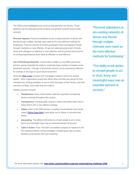The 2009 contest highlighted new common characteristics for winners. These attributes can be replicated across contests and general nonprofit social media outreach.

**Personal Appeals:** Personal solicitations to pre-existing networks of donors and friends through multiple channels were rated as the most effective methods for fundraising. Thirty-five percent of contest participants rated messaging to friends through Facebook as most effective; 32 percent rated personal email to friends, family and colleagues as effective or most effective; and 25 percent rated email to an existing organizational donor base as effective or most effective.

**Use of Distributed Networks:** Social media enables on and offline grassroots activism, giving nonprofits the ability to coordinate large numbers of people across distributed networks. This type of grassroots activism can be enormously effective for contests or any type of cause-based movement.

Some like **Atlas Corps** recruited 150 "Campaign Captains" before the contest started. Other organizations broke their efforts down into bite-size pieces for their volunteers by creating templates to use to send messages to their friends, post and comment on blogs, and create their own videos.

Additional assets included:

- **Thankfulness**: Many of the winners cited the importance of thanking donors profusely throughout the contest.
- **Transparency**: Creating public spaces to share information about who is doing what is also a very effective strategy.
- **Videos:** Most of the 2009 winners, including Conversational Case Study subject [Darius Goes West,](http://www.casefoundation.org/blog/AGC-Conversational-Case-Studies-Darius-Goes-West) made good use of videos to chronicle their efforts.
- **Storytelling**: The ability to tell stories to compel people to act in short, funny and meaningful ways was an essential element of success.
- **Calls to Action**: From YouTube's annotations program to requests to tell five additional friends, strong campaigns included great calls-to-action, blending social stories with hard marketing.

"Personal solicitations to pre-existing networks of donors and friends through multiple channels were rated as the most effective methods for fundraising."

"The ability to tell stories to compel people to act in short, funny and meaningful ways was an essential element of success."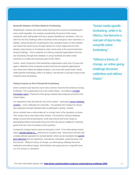### **Nonprofit Adoption of Online Media for Fundraising**

Philanthropic contests and online media have become a source of fundraising for many small nonprofits. Our analysis revealed that 40 percent of the cause champions were staff people and only a quarter identified as volunteers. This is a shift from the first Challenge where two-thirds of the champions were volunteers. In addition, almost 80 percent of participants had a donation button on their website, and nearly half raised money through Network for Good. Eighty percent were already using Causes on Facebook to raise money prior to the second America's Giving Challenge. This is evidence of a shift by nonprofit organizations that now see fundraising through their websites or using Facebook and other online channels as a viable and necessary part of their efforts.

Further, nearly 40 percent of the beneficiary organizations were over 10 years old, again a reflection of the increased comfort level that all nonprofit organizations, even those born before the digital revolution, now have with social media. Social media-specific fundraising, while in its infancy, has become a real part of day-to-day nonprofit online fundraising.

### **Vetting Contests as Part of Nonprofit Fundraising**

Online contests have become much more common since the first America's Giving Challenge. This is particularly true in the United States. According to [a Knight](http://www.knightfoundation.org/dotAsset/356025.pdf)  [Foundation report,](http://www.knightfoundation.org/dotAsset/356025.pdf) 79 percent of the giving contests they analyzed occurred in the United States.

*It is important to note that with the rise of the contest – particularly [cause marketing](http://beth.typepad.com/beths_blog/2010/03/are-proxy-vote-for-me-tactics.html)  [contests –](http://beth.typepad.com/beths_blog/2010/03/are-proxy-vote-for-me-tactics.html) come challenges for nonprofits.* The greatest risk is fatigue by donors and supporters through repeated asks to participate in giving contests.

Some contests have a winner-take-all, or at least most, of the donations or prizes. This creates many more losers than winners. The America's Giving Challenge design ensured that all participants could raise friends and funds simply by participating without necessarily being one of the top winners eligible for matching grants from the Case Foundation and its partners.

Contests for change need to have an end goal in mind. In its online giving contest report, And the Winner Is..., McKinsey & Company said, "Good prizes will start with a clearly-defined aspiration for societal benefit, which can be translated into **specific** [prize objectives t](http://www.flickr.com/photos/cambodia4kidsorg/3904931910/)hat are significant, motivational, actionable, results-focused, and time-bound." Without a theory of change, an online giving challenge becomes rudderless and without impact. We find that's not a good use of a nonprofit's time, nor of its donors or volunteers.

"Social media-specific fundraising, while in its infancy, has become a real part of day-to-day nonprofit online fundraising."

"Without a theory of change, an online giving challenge becomes rudderless and without impact."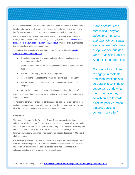All of these issues create a need for nonprofits to make the decision of whether and how to participate in funding contests of strategic importance. This is particularly true for smaller organizations with fewer resources to devote to fundraising.

In the second Conversational Case Study, Students for a Free Tibet's Melanie Raoul, a winner in both America's Giving Challenges, said: "Online contests can [take a lot out of your volunteers, members, and staff. W](http://geofflivingston.com/2010/05/10/can-the-contest-craze-sustain-itself/)e don't enter every contest that comes along. We pick one per year."

Several considerations have emerged for nonprofits to consider when vetting [contests for their fundraising effort:](http://www.bethkanter.org/roi-online-contests/) 

- Does the organization have enough time and resources to invest in winning the campaign?
- Is there a strong enough pre-existing network to reach out to friends and family?
- Will the contest help grow the network of people?
- How does the contest fit in the overall fundraising plan for the year?
- Will the frequency of communication from the contest cause donor fatigue?
- What will the impact be if the organization does not win the contest?

Collectively these criteria represent a mechanism to vet some of the challenges a contest can present.

As nonprofits continue to engage in contests, and as foundations and corporations continue to support and underwrite them, we hope they do so with an eye towards all of the positive impact that any particular contest might offer.

### **Conclusion**

The theory of change for the America's Giving Challenge was to significantly enhance the ability of nonprofit organizations and causes to smartly leverage social media to raise funds and new supporters, which they could then use to help support and sustain their efforts in the future. As the statistics have shown, online fundraising with social media tools has become an accepted practice in 80 percent of all nonprofits.

We believe the efforts of the Case Foundation and its partners as contest pioneers have led to the widespread proliferation of contests and associated best practices. In addition, we also believe the general contest trend has contributed to the industry's adoption of online fundraising via social media.

*"Online contests can take a lot out of your volunteers, members, and staff. We don't enter every contest that comes along. We pick one per year."* – Melanie Raoul of Students for a Free Tibet

"As nonprofits continue to engage in contests, and as foundations and corporations continue to support and underwrite them, we hope they do so with an eye towards all of the positive impact that any particular contest might offer."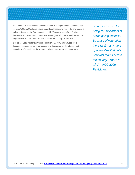As a number of survey respondents mentioned in the open-ended comments that America's Giving Challenge played a significant leadership role in the prevalence of online giving contests. One respondent said, *"Thanks so much for being the innovators of online giving contests. Because of your effort there [are] many more opportunities that rally nonprofit teams across the country. That's a win."*

But it's not just a win for the Case Foundation, PARADE and Causes. It's a testimony to the entire nonprofit sector's growth in social media adoption and capacity to effectively use these tools to raise money for social change work.

*"Thanks so much for being the innovators of online giving contests. Because of your effort there [are] many more opportunities that rally nonprofit teams across the country. That's a win."* - AGC 2009 **Participant**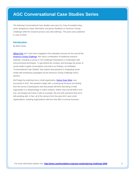### <span id="page-12-0"></span>**AGC Conversational Case Studies Series**

*The following Conversational Case Studies were part of a Case Foundation blog series designed to share information and garner feedback on America's Giving Challenge while the research process was still underway. The posts were published in June of 2010.*

### **Introduction**

*By Beth Kanter* 

[Allison Fine](http://afine2.wordpress.com/) and I have been engaged in the evaluation process for the second the [America's Giving Challenge.](http://www.casefoundation.org/projects/giving-challenge) We used a combination of traditional research methods, including a survey of 720 Challenge Participants in combination with unconventional techniques. To get behind the numbers and leverage the power of social media to ignite conversations and share our findings, we facilitated "Conversational Case Studies" that explore best practices in integrating social media with fundraising campaigns by the America's Giving Challenge (AGC) winners.

We'll begin by exploring how a small organization, **Darius Goes West**, was successful in AGC. We wanted to begin with a small group because one finding from the survey of participants was that people still think that being a small organization is a disadvantage in online contests. Rather than just tell folks it isn't true, we thought we'd show it with an example. We end with questions that we're still wrestling with. In fact, all of the winners from this past AGC were small organizations, meaning organizations with less than \$5m in annual revenues.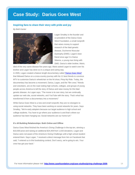### <span id="page-13-0"></span>**Case Study: Darius Goes West**

### **Inspiring fans to share their story with pride and joy**

*By Beth Kanter* 



Logan Smalley is the founder and co-president of the Darius Goes West Foundation, a small nonprofit that raises money to support research of the fatal genetic disease, Duchenne Muscular Dystrophy (DMD). Logan's best friend since age 5 is Darius Weems, a young man living with DMD. Darius's older brother, Mario,

died of the very same disease five years ago. Mario asked Logan to watch over his brother and Logan has done so in a unique and caring way. In 2005, Logan created a feature length documentary calle[d "Darius Goes West"](http://www.dariusgoeswest.org/playitforward/) that followed Darius on a cross-country journey with his 11 best friends to convince MTV to customize Darius's wheelchair on the hit show, Pimp My Ride. Today, the documentary has become a movement. Darius, Logan, and the "film crew," friends and volunteers, are on the road visiting high schools, colleges, and groups of young people across America to tell the story of Darius and raise money for this fatal genetic disease. As Logan says, "The movie is its own story, but we continually update our web site, social networks, and YouTube with the story. That's what has transformed it from a documentary into a movement."

While Darius Goes West is a new and small nonprofit, they are no strangers to using social networks. They have been working on social networks for years. Says Smalley, "We're early adopters because our target audience is high school and college students. You have to go where your audience is and that's where our audience has been hanging out. Social networks are our home turf."

### **It's All Building Relationships: Both Online and Offline**

Darius Goes West finished the America's Giving Challenge in the top ten, winning a \$10,000 prize and raising an additional \$24,459 from 1,633 donations. Logan and Darius were not aware of the America's Giving Challenge until a high school student entered them. Says Logan, "I received a direct message from him on Facebook that said, "I entered us in this fundraising contest. Don't worry, we're going to win. Your crew has got your back."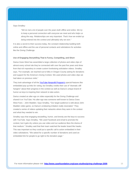Says Smalley:

*"We've met a lot of people over the years both offline and online. We try to keep a personal connection with everyone we meet and who helps us along the way. Relationships are very important. That's how we ended up being entered into the contest and ultimately why we won."* 

It is also a secret to their success today, the constant relationship building both online and offline and the use of personal contacts and solicitations for activities like the Giving Challenge.

### **Use of Engaging Storytelling That Is Funny, Compelling, and Short**

Darius Goes West has assembled a large collection of photos and video clips of almost every school site they've connected with over the past five years and drew from that rich repository to create custom fundraising solicitation videos. Smalley says, "For example, we reached out to folks in Oregon County asking for donations and support for the America's Giving Contest. We used photos and video clips we had taken on previous visits."

They took advantage of all the **YouTube Nonprofit Program's** special features like embedded pop up links for voting, but Smalley credits their use of "dramatic cliff hangers" about their progress in the contest as well as Darius's unique brand of humor as keys to inspiring their network to take action.

Darius created an alter ego on video especially for the Giving Challenge and shared it on YouTube. His alter ego was someone well known to Darius Goes West Fans – John Madden. Says Smalley, "Our target audience is wild about John Madden video game, so Darius's endearing imitation really resonated." They created a series of videos updating their networks where they were in the contest and what they needed to win.

Smalley says that engaging storytelling, humor, and brevity are the keys to success with YouTube. Says Smalley, "We used Facebook and email to promote the contest, but it gets dry unless you use video and our audience likes the drama of that medium." Smalley said that their team watched the leader board like hawks. This was important so they could put a specific call to action embedded in their video solicitations. "We asked for a specific number of donations and used an embedded link for people to go right to the donation page."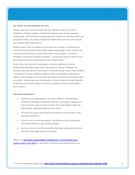### **Say Thank You and Celebrate Success**

Smalley says every point of contact with your followers can't be an ask for something. Thanking people is essential for keeping one's network engaged. Smalley said, "Not only that you appreciated your network for what they did for you during the contest, but it helps maintain the relationship so the next time around, your network will be there for you."

Smalley doesn't look at contests as a one-time ask, but part of a continuum of social networking activities that involves empowering people in their network who know and love their story to share it with others. Says Smalley, "You have to stimulate an emotional incentive for people – so they feel a sense of pride and joy when they forward your organization's story to their friends."

Darius Goes West went on to participate in several subsequent contests, perfecting the techniques they used in the America's Giving Challenge. For example, they were winner of the Chase Community Giving contest. Says Smalley, "The America's Giving Challenge helped us reach new people, expanding our network, and motivated us to reconnect with people we hadn't touched based with for a while." Smalley says one of the benefits of these contests to small nonprofits is that they can be great catalyst to build your supporters network and catalyze them to action.

### **Discussion Questions:**

- Whether you're participating in an online contest or implementing a fundraising campaign using social networks, you've got to engage your fans and make it easy for them to share your organization's story with pride and joy. What techniques are you using?
- How have you used social media to personalize your interactions with potential supporters?
- If you are with a small organization, how have you used social media successfully without a big marketing budget?
- How can we put to rest the assumption that large organizations have an automatic advantage using social media?

*Please visit [http://www.casefoundation.org/blog/AGC-Conversational-Case-](http://www.casefoundation.org/blog/AGC-Conversational-Case-Studies-Darius-Goes-West)[Studies-Darius-Goes-West t](http://www.casefoundation.org/blog/AGC-Conversational-Case-Studies-Darius-Goes-West)o view all the comments associated with this post.*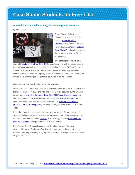## <span id="page-16-0"></span>**Case Study: Students for Free Tibet**

### **A mindful social media strategy for campaigns or contests**

*By Beth Kanter* 



Allison Fine and I have been working on an evaluation of the second America's Giving [Challenge.](http://www.casefoundation.org/projects/giving-challenge) As part of the process, we are facilitating "Conversational [Case Studies"](http://www.casefoundation.org/blog/by_tag/AGC2) that explore some of the themes that have surfaced from surveys.

This post explores how a small

nonprofit, **Students for a Free Tibet (SFT)**, a contest winner in the first and second America's Giving Challenges, is using social media effectively. SFT carefully vets contest participation to ensure it will be worth their time and energy as well as ensuring that the contest strategically aligns with their goals. They also understand how to avoid donor fatigue, the potential downside to online contests.

### **Friendraising and Fundraising on Social Networks**

Melanie Raoul is a passionate millennial who knows what it means to put her life on the line for a cause. In 2007, she was one of six activists detained by the Chinese government after [adding the words "Free Tibet 2008" to an Olympic banner](http://www.cbc.ca/canada/british-columbia/story/2007/08/07/tibet-banner.html) and unfurling it on the Great Wall of China. She was [freed several days later,](http://www.cbc.ca/canada/british-columbia/story/2007/08/09/bc-protesters.html) but her personal act of protest was the official beginning of a [one-year countdown of](http://blog.studentsforafreetibet.org/category/campaigns/beijing-olympics-2008/)  [protests to the 2008 Olympics](http://blog.studentsforafreetibet.org/category/campaigns/beijing-olympics-2008/) organized by her organization, Students for a Free Tibet.

It was the dramatic backdrop of this campaign that Melanie Raoul entered her organization in the first America's Giving Challenge in 2007-2008. It was also their first experiment with Facebook [Causes](http://www.causes.com/) for fundraising, and they raised \$89,914 [from 3,672 donors](http://www.casefoundation.org/pressroom/releases/giving-challenges-inspire-80000-people-give) and captured \$25,000 in prize money.

Says Raoul, "The Olympics Campaign catalyzed our movement with an unstoppable sense of unity for a free Tibet. It empowered [us] to enter the first America's Giving [Challenge] using a pull-all-the-stops campaign, which also helped us grow our network."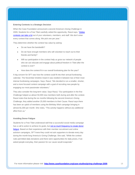#### **Entering Contests is a Strategic Decision**

When the Case Foundation announced a second America's Giving Challenge in 2009, Students for a Free Tibet carefully vetted the opportunity. Raoul says, ["Online](http://geofflivingston.com/2010/05/10/can-the-contest-craze-sustain-itself/)  [contests can take a lot o](http://geofflivingston.com/2010/05/10/can-the-contest-craze-sustain-itself/)ut of your volunteers, members, and staff. We don't enter every contest that comes along. We pick one per year."

They determine whether the contest has value by asking:

- Do we have the bandwidth?
- Do we have enough members who will volunteer to reach out to their friends and family?
- Will our participation in the contest help us grow our network of people who we can educate and engage about political freedom in Tibet after the contest is over?
- How does the contest fit in our overall fundraising plan for the year?

A big concern for SFT was how the contest could fit into their annual fundraising calendar. The November timeline meant it was nestled in between two of their most intense fundraising campaigns. Says, Raoul, "We decided to run a smaller, shorter, and a more focused contest campaign with a goal of recruiting new people by engaging our most passionate volunteers."

They also consider the long-term value. Says Raoul, "Our participation in the first Challenge helped us attract 50,000 new members both during and after the contest. Raoul notes that during the six months following the second America's Giving Challenge, they added another 25,000 members to their Cause. Raoul says there has been an uptick of members using the Birthday Wish campaign bringing in almost \$1,000 per month. She notes, "This activity happens without any additional effort from us."

### **Avoiding Donor Fatigue**

Students for a Free Tibet understood well that a successful social media campaign has a call to action to achieve its goals, but not so much frequency to create donor [fatigue.](http://www.socialedge.org/discussions/funding/issue-fatigue-2013-fighting-for-attention-and-funds-in-an-aware-world-1) Based on their experience with their member recruitment and online activism campaigns, SFT knew they could not ask supporters to donate every day during the month-long America's Giving Challenge. She said, "While the contest rules permitted daily donations and there were opportunities for daily prizes, if we asked people everyday, their passion for our cause would evaporate."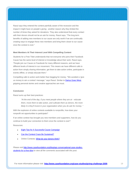Raoul says they entered the contest painfully aware of the recession and the impact it might have on people's giving - another reason why they limited the number of times they asked for donations. They also understood that every contact with their donors should not be an ask for money. Raoul says, "The long term benefits of adding new members to our cause are only worth if we are continually creating ways to engage these new members and bring them closer to our cause once the contest is over."

#### **Meet Members At Their Interest Level With Compelling Content**

Students for a Free Tibet understands that not everyone who joins their Facebook Cause has the same level of interest or knowledge about their work. Raoul says, "People join our Cause on Facebook for many different reasons, and we have different levels of interest in our movement. This means we have different calls to action from simply sharing information, get them to take action online, participate in events offline, or simply educate them."

Compelling calls to action work better than begging for money. "We avoided a 'give us money to win a contest' message," says Raoul. Similar to **Darius Goes West**, gripping personal stories and creative approaches are must.

### **Conclusion**

Raoul sums up their best practices:

*"At the end of the day, if you meet people where they are at – educate them, move them to take action, and cultivate them as donors, the more likely it is they'll invest in your organization when you do ask for money. "* 

With the explosion of online contests available to nonprofits, how does your nonprofit vet opportunities to participate?

If an online contest has brought you new members and supporters, how do you continue to build your connection to them once the contest is over?

#### Resources:

- **[Eight Tips for A Successful Cause Campaign](http://mashable.com/2010/05/10/social-cause-campaign/)**
- [Can the Contest Craze Be Sustained?](http://geofflivingston.com/2010/05/10/can-the-contest-craze-sustain-itself/)
- Online Contests: [What do your donors think?](http://achieveguidance.com/page/may2010)

*Please visit [http://www.casefoundation.org/blog/agc-conversational-case-studies](http://www.casefoundation.org/blog/agc-conversational-case-studies-students-for-a-free-tibet)[students-for-a-free-tibet t](http://www.casefoundation.org/blog/agc-conversational-case-studies-students-for-a-free-tibet)o view all the comments associated with this post.*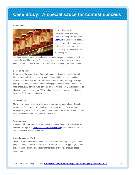## <span id="page-19-0"></span>**Case Study: A special sauce for contest success**

### *By Allison Fine*



For this third and final Conversational Case Study on America's Giving Challenge from [Beth Kanter a](http://www.bethkanter.org/)nd I, we wil pose a question rather than answer one: Is there a "special sauce" for successful participation in online fundraising contests?

Any good sauce is always a combination of ingredients, never just one thing. So is successful social fundraising. Based on our assessment and review of winning efforts in other contests, it seems clear that some of the key ingredients include:

### **Personal Appeals**

People naturally respond more frequently to personal appeals from family and friends. Personal solicitations to existing donors and friends through multiple channels were rated as the most effective methods for fundraising by Challenge participants. Thirty-five percent rated messaging to friends through Facebook as most effective; 32 percent rated personal email to friends, family and colleagues as effective or most effective; and 25% rated email to existing organizational donor base as effective or most effective.

### **Thankfulness**

Many of the winners cited the importance of thanking donors profusely throughout the contest[. Food for People](http://www.foodforpeople.org/) not only made personal appeals to their donors but also went to great effort thanking their donors knowing that a well-thanked donor is likely to help solicit their own friends for the cause.

#### **Transparency**

Creating public spaces to share information about who is doing what is also a very effective strategy. The **Overseas China Education Fund** maintained and shared a wiki about who was asked to do what.

### **Spreading Out the Work**

One of the most powerful attributes of social media is the ability of large numbers of people to coordinate their actions as part of a larger event. This type of grassroots activism can be enormously effective for contests or any type of cause-based movement.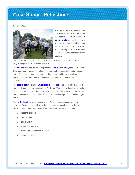# <span id="page-21-0"></span>**Case Study: Reflections**

### *By Allison Fine*



The past several weeks, we shared what we had learned about the second round of America's Giving Challenge, and in return you told us your thoughts about the findings and the Challenge. This is exactly what we envisioned for these "Conversational Case Studies."

Thanks to everyone who participated! This last post summarizes some themes and insights we gleaned from the conversation.

The **first post** was about a small organization, **Darius Goes West**, that was a Giving Challenge winner because of relationship building the organization had done prior to the Challenge - a great story combined with smart and funny storytelling, primarily by video, and heartfelt thanking of volunteers and celebrations of their success.

The **second post** focused on **Students for a Free Tibet**. They ended up a winner in both the first and second rounds of the Challenge. That post explored their formula for success, which included a combination of social media savvy and careful vetting of their participation in this contest to assure the contest aligned with their strategic goals.

For the third post, we asked a question: *Is there a special sauce for winning contests?* Based on our analysis of the survey data of participants and the two previous case studies, we proffered that the special sauce might include:

- personal appeals
- thankfulness
- transparency
- spreading out the work
- the use of video storytelling, and
- on-land activities.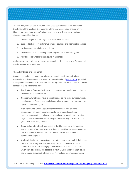The first post, Darius Goes West, had the liveliest conversation in the comments, twenty-four of them in total! Our summary of the conversation that ensued on this blog, on our own blogs, and on Twitter is outlined below. Those conversations clustered around five themes:

- 1. the advantages to small organizations in online contests
- 2. the need to have joyous funerals by understanding and appreciating failures
- 3. the importance of relationship building
- 4. the intersection of community organizing and online fundraising, and
- 5. how to decide whether to participate in a contest.

And we were also privileged to receive one great idea discussed below. So, what did we discuss and learn together?

### **The Advantages of Being Small**

Commenters weighed in on the question of what made smaller organizations successful in online contests. Stacey Monk, the co-founder of Epic Change, provided a comprehensive list of the reasons that smaller organizations are successful in online contests that we summarize here:

- **Proximity to Personality.** People connect to people much more easily than they connect to organizations.
- **Necessity.** What we do have is social media so we focus our resources & creativity there. Since social media is our primary channel, we have no other option but to make it good.
- **Risk Tolerance.** Small, upstart organizations might be a bit more comfortable with experimentation than larger organizations. Large organizations may feel a misstep could tarnish their brand somehow. Small organizations know mistakes are just part of the learning process, and it's great to do them early & often.
- **Rapid Adaptation.** Small organizations don't have layers of bureaucracy and approvals. If we have a strategy that's not working, we move to another one in a matter of minutes. We don't have to raise it up the chain of command for approval.
- **Authenticity.** Large organizations have a tendency to over-polish their social media efforts & they lose their humanity. That's not the case in Darius' videos. You know he's a real guy. The mistakes are edited in - not out which may be precisely the opposite of what a larger nonprofit might do. In social media, authenticity always wins. Authenticity requires imperfection.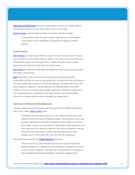Holly Ross of NTEN wrote that small organizations can ably use social media to their benefit, however it comes with a steep cost for some: time.

Donna Arriaga summed up the benefits of smallness with this thought:

*"I think a factor which may give smaller organizations a foot forward in social media is their malleability and capacity for adjusting swiftly to change."* 

### **Joyful Funerals**

Mom's Rising, an organization that is an expert in social media for social change, once shared the secret to their success: failure. In the video at the end of this post, Ashley Boyd explains how they give ideas or tactics that didn't work "a joyful funeral" and from that much learning and insight comes.

Brian Reich pressed us to study failure as well as success to learn about how and why these contests work.

Beth responded in the comments (the reason that we called these posts Conversational!) that the issue of why groups didn't do well had come up during the two assessments we've done of the Giving Challenge. She boiled them down into three categories: capacity to devote planning and implementation time to the contest, the lack of an existing and engaged network on Facebook coupled with a lack of personalized or compelling conversation starters, and a good vetting process for choosing which contests suit particular organizations.

### **Importance of Relationship Building Early**

A pattern evident among the winners was the importance of relationship building prior to the contest. Allison Jones wrote:

> *"Something else that stands out to me is the amount of work put in long before the American Giving Challenge started. They seemed to have built up quite a following on and offline beforehand which makes me wonder if these online contests are only good for organizations that already have an online presence (I've heard the argument that these competitions can get nonprofits more interested in social media and refining their online strategy, but I'm not so sure this is the case for truly beginners)."*

Regarding Darius specifically, Debra Askanase observed:

*"What struck me as critical was the year of cross-country relationshipbuilding that gave the organization the broad base of support to call upon to win an online challenge. AND that they understand how to capitalize on those relationships through meaningful, continuous engagements."*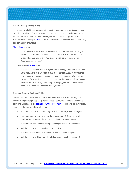### **Grassroots Organizing is Key**

At the heart of all of these contests is the need for participants to act like grassroots organizers. An irony of life in the connected age is that success involves the same skill set that have made neighborhood organizers successful for years. Debra Askanase has a great post here on the intersection between social media fundraising and community organizing.

### Maria Baldauf wrote:

*"The key in all of this is that people don't want to feel like their money just disappears somewhere in cyber space. They want to feel like whatever amount they are able to give has meaning, makes an impact or improves the world in some way."* 

### Susan Gordon of **Causes** wrote:

*"My advice is to think about who your hard-core supporters are, think about what campaigns or stories they would most want to spread to their friends, and produce a grassroots campaign strategy that empowers those people to spread those stories. These lessons are true for challenges/contests but they are also true for any fundraising campaign, petition, or membership drive you're doing on any social media platform."* 

#### **Strategic Contest Decision Making**

The second blog post on Students for a Free Tibet focused on their strategic decision making in regards to participating in the contest. Beth rolled comments about that story into a post about the **potential return on investment** for contests. To summarize, contest participants need to think about:

- Whether and how the contest aligns with their values, mission and goals.
- Are there benefits beyond money for the participant? Specifically, will participation be meaningful, fun or engaging for their community?
- Whether one has a realistic change of being successful in the contest.
- Will the contest provide any long term benefits?
- Will participation add to or detract from potential donor fatigue?
- Will the contest build our social capital with our network or expend it?